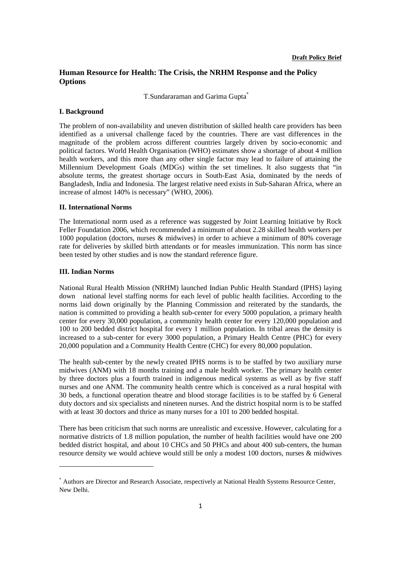# **Human Resource for Health: The Crisis, the NRHM Response and the Policy Options**

T.Sundararaman and Garima Gupta\*

#### **I. Background**

The problem of non-availability and uneven distribution of skilled health care providers has been identified as a universal challenge faced by the countries. There are vast differences in the magnitude of the problem across different countries largely driven by socio-economic and political factors. World Health Organisation (WHO) estimates show a shortage of about 4 million health workers, and this more than any other single factor may lead to failure of attaining the Millennium Development Goals (MDGs) within the set timelines. It also suggests that "in absolute terms, the greatest shortage occurs in South-East Asia, dominated by the needs of Bangladesh, India and Indonesia. The largest relative need exists in Sub-Saharan Africa, where an increase of almost 140% is necessary" (WHO, 2006).

### **II. International Norms**

The International norm used as a reference was suggested by Joint Learning Initiative by Rock Feller Foundation 2006, which recommended a minimum of about 2.28 skilled health workers per 1000 population (doctors, nurses & midwives) in order to achieve a minimum of 80% coverage rate for deliveries by skilled birth attendants or for measles immunization. This norm has since been tested by other studies and is now the standard reference figure.

### **III. Indian Norms**

<u>.</u>

National Rural Health Mission (NRHM) launched Indian Public Health Standard (IPHS) laying down national level staffing norms for each level of public health facilities. According to the norms laid down originally by the Planning Commission and reiterated by the standards, the nation is committed to providing a health sub-center for every 5000 population, a primary health center for every 30,000 population, a community health center for every 120,000 population and 100 to 200 bedded district hospital for every 1 million population. In tribal areas the density is increased to a sub-center for every 3000 population, a Primary Health Centre (PHC) for every 20,000 population and a Community Health Centre (CHC) for every 80,000 population.

The health sub-center by the newly created IPHS norms is to be staffed by two auxiliary nurse midwives (ANM) with 18 months training and a male health worker. The primary health center by three doctors plus a fourth trained in indigenous medical systems as well as by five staff nurses and one ANM. The community health centre which is conceived as a rural hospital with 30 beds, a functional operation theatre and blood storage facilities is to be staffed by 6 General duty doctors and six specialists and nineteen nurses. And the district hospital norm is to be staffed with at least 30 doctors and thrice as many nurses for a 101 to 200 bedded hospital.

There has been criticism that such norms are unrealistic and excessive. However, calculating for a normative districts of 1.8 million population, the number of health facilities would have one 200 bedded district hospital, and about 10 CHCs and 50 PHCs and about 400 sub-centers, the human resource density we would achieve would still be only a modest 100 doctors, nurses & midwives

<sup>\*</sup> Authors are Director and Research Associate, respectively at National Health Systems Resource Center, New Delhi.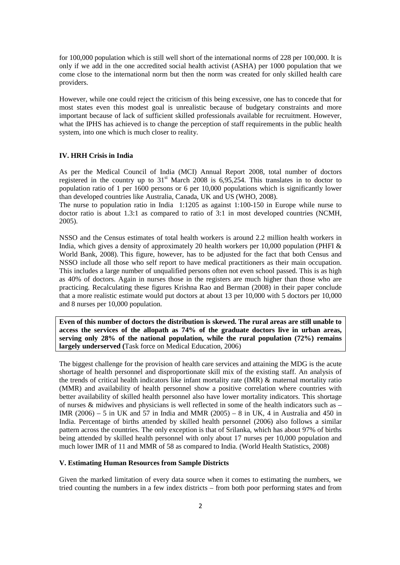for 100,000 population which is still well short of the international norms of 228 per 100,000. It is only if we add in the one accredited social health activist (ASHA) per 1000 population that we come close to the international norm but then the norm was created for only skilled health care providers.

However, while one could reject the criticism of this being excessive, one has to concede that for most states even this modest goal is unrealistic because of budgetary constraints and more important because of lack of sufficient skilled professionals available for recruitment. However, what the IPHS has achieved is to change the perception of staff requirements in the public health system, into one which is much closer to reality.

# **IV. HRH Crisis in India**

As per the Medical Council of India (MCI) Annual Report 2008, total number of doctors registered in the country up to  $31<sup>st</sup>$  March 2008 is 6,95,254. This translates in to doctor to population ratio of 1 per 1600 persons or 6 per 10,000 populations which is significantly lower than developed countries like Australia, Canada, UK and US (WHO, 2008).

The nurse to population ratio in India 1:1205 as against 1:100-150 in Europe while nurse to doctor ratio is about 1.3:1 as compared to ratio of 3:1 in most developed countries (NCMH, 2005).

NSSO and the Census estimates of total health workers is around 2.2 million health workers in India, which gives a density of approximately 20 health workers per 10,000 population (PHFI & World Bank, 2008). This figure, however, has to be adjusted for the fact that both Census and NSSO include all those who self report to have medical practitioners as their main occupation. This includes a large number of unqualified persons often not even school passed. This is as high as 40% of doctors. Again in nurses those in the registers are much higher than those who are practicing. Recalculating these figures Krishna Rao and Berman (2008) in their paper conclude that a more realistic estimate would put doctors at about 13 per 10,000 with 5 doctors per 10,000 and 8 nurses per 10,000 population.

**Even of this number of doctors the distribution is skewed. The rural areas are still unable to access the services of the allopath as 74% of the graduate doctors live in urban areas, serving only 28% of the national population, while the rural population (72%) remains largely underserved (**Task force on Medical Education, 2006)

The biggest challenge for the provision of health care services and attaining the MDG is the acute shortage of health personnel and disproportionate skill mix of the existing staff. An analysis of the trends of critical health indicators like infant mortality rate (IMR) & maternal mortality ratio (MMR) and availability of health personnel show a positive correlation where countries with better availability of skilled health personnel also have lower mortality indicators. This shortage of nurses  $\&$  midwives and physicians is well reflected in some of the health indicators such as  $-$ IMR (2006) – 5 in UK and 57 in India and MMR (2005) – 8 in UK, 4 in Australia and 450 in India. Percentage of births attended by skilled health personnel (2006) also follows a similar pattern across the countries. The only exception is that of Srilanka, which has about 97% of births being attended by skilled health personnel with only about 17 nurses per 10,000 population and much lower IMR of 11 and MMR of 58 as compared to India. (World Health Statistics, 2008)

# **V. Estimating Human Resources from Sample Districts**

Given the marked limitation of every data source when it comes to estimating the numbers, we tried counting the numbers in a few index districts – from both poor performing states and from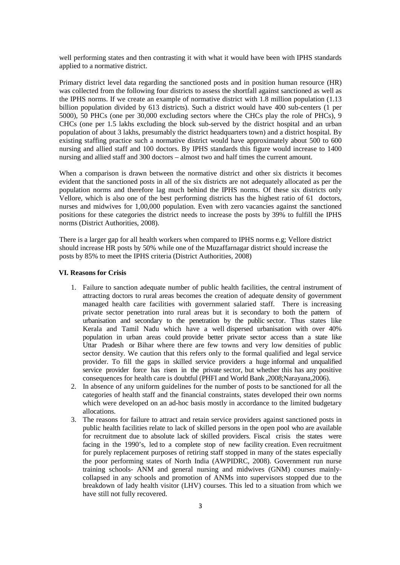well performing states and then contrasting it with what it would have been with IPHS standards applied to a normative district.

Primary district level data regarding the sanctioned posts and in position human resource (HR) was collected from the following four districts to assess the shortfall against sanctioned as well as the IPHS norms. If we create an example of normative district with 1.8 million population (1.13 billion population divided by 613 districts). Such a district would have 400 sub-centers (1 per 5000), 50 PHCs (one per 30,000 excluding sectors where the CHCs play the role of PHCs), 9 CHCs (one per 1.5 lakhs excluding the block sub-served by the district hospital and an urban population of about 3 lakhs, presumably the district headquarters town) and a district hospital. By existing staffing practice such a normative district would have approximately about 500 to 600 nursing and allied staff and 100 doctors. By IPHS standards this figure would increase to 1400 nursing and allied staff and 300 doctors – almost two and half times the current amount.

When a comparison is drawn between the normative district and other six districts it becomes evident that the sanctioned posts in all of the six districts are not adequately allocated as per the population norms and therefore lag much behind the IPHS norms. Of these six districts only Vellore, which is also one of the best performing districts has the highest ratio of 61 doctors, nurses and midwives for 1,00,000 population. Even with zero vacancies against the sanctioned positions for these categories the district needs to increase the posts by 39% to fulfill the IPHS norms (District Authorities, 2008).

There is a larger gap for all health workers when compared to IPHS norms e.g; Vellore district should increase HR posts by 50% while one of the Muzaffarnagar district should increase the posts by 85% to meet the IPHS criteria (District Authorities, 2008)

### **VI. Reasons for Crisis**

- 1. Failure to sanction adequate number of public health facilities, the central instrument of attracting doctors to rural areas becomes the creation of adequate density of government managed health care facilities with government salaried staff. There is increasing private sector penetration into rural areas but it is secondary to both the pattern of urbanisation and secondary to the penetration by the public sector. Thus states like Kerala and Tamil Nadu which have a well dispersed urbanisation with over 40% population in urban areas could provide better private sector access than a state like Uttar Pradesh or Bihar where there are few towns and very low densities of public sector density. We caution that this refers only to the formal qualified and legal service provider. To fill the gaps in skilled service providers a huge informal and unqualified service provider force has risen in the private sector, but whether this has any positive consequences for health care is doubtful (PHFI and World Bank ,2008;Narayana,2006).
- 2. In absence of any uniform guidelines for the number of posts to be sanctioned for all the categories of health staff and the financial constraints, states developed their own norms which were developed on an ad-hoc basis mostly in accordance to the limited budgetary allocations.
- 3. The reasons for failure to attract and retain service providers against sanctioned posts in public health facilities relate to lack of skilled persons in the open pool who are available for recruitment due to absolute lack of skilled providers. Fiscal crisis the states were facing in the 1990's, led to a complete stop of new facility creation. Even recruitment for purely replacement purposes of retiring staff stopped in many of the states especially the poor performing states of North India (AWPIDRC, 2008). Government run nurse training schools- ANM and general nursing and midwives (GNM) courses mainlycollapsed in any schools and promotion of ANMs into supervisors stopped due to the breakdown of lady health visitor (LHV) courses. This led to a situation from which we have still not fully recovered.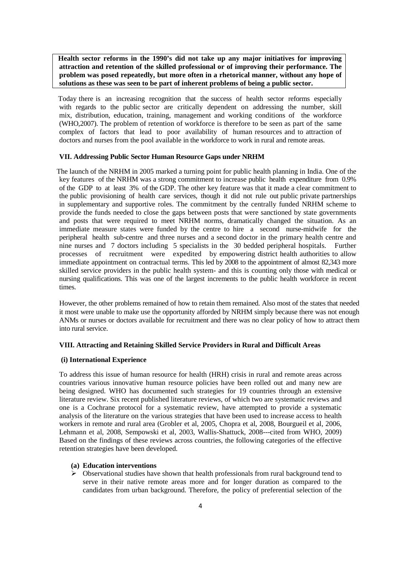**Health sector reforms in the 1990's did not take up any major initiatives for improving attraction and retention of the skilled professional or of improving their performance. The problem was posed repeatedly, but more often in a rhetorical manner, without any hope of solutions as these was seen to be part of inherent problems of being a public sector.**

Today there is an increasing recognition that the success of health sector reforms especially with regards to the public sector are critically dependent on addressing the number, skill mix, distribution, education, training, management and working conditions of the workforce (WHO,2007). The problem of retention of workforce is therefore to be seen as part of the same complex of factors that lead to poor availability of human resources and to attraction of doctors and nurses from the pool available in the workforce to work in rural and remote areas.

### **VII. Addressing Public Sector Human Resource Gaps under NRHM**

 The launch of the NRHM in 2005 marked a turning point for public health planning in India. One of the key features of the NRHM was a strong commitment to increase public health expenditure from 0.9% of the GDP to at least 3% of the GDP. The other key feature was that it made a clear commitment to the public provisioning of health care services, though it did not rule out public private partnerships in supplementary and supportive roles. The commitment by the centrally funded NRHM scheme to provide the funds needed to close the gaps between posts that were sanctioned by state governments and posts that were required to meet NRHM norms, dramatically changed the situation. As an immediate measure states were funded by the centre to hire a second nurse-midwife for the peripheral health sub-centre and three nurses and a second doctor in the primary health centre and nine nurses and 7 doctors including 5 specialists in the 30 bedded peripheral hospitals. Further processes of recruitment were expedited by empowering district health authorities to allow immediate appointment on contractual terms. This led by 2008 to the appointment of almost 82,343 more skilled service providers in the public health system- and this is counting only those with medical or nursing qualifications. This was one of the largest increments to the public health workforce in recent times.

However, the other problems remained of how to retain them remained. Also most of the states that needed it most were unable to make use the opportunity afforded by NRHM simply because there was not enough ANMs or nurses or doctors available for recruitment and there was no clear policy of how to attract them into rural service.

### **VIII. Attracting and Retaining Skilled Service Providers in Rural and Difficult Areas**

### **(i) International Experience**

To address this issue of human resource for health (HRH) crisis in rural and remote areas across countries various innovative human resource policies have been rolled out and many new are being designed. WHO has documented such strategies for 19 countries through an extensive literature review. Six recent published literature reviews, of which two are systematic reviews and one is a Cochrane protocol for a systematic review, have attempted to provide a systematic analysis of the literature on the various strategies that have been used to increase access to health workers in remote and rural area (Grobler et al, 2005, Chopra et al, 2008, Bourgueil et al, 2006, Lehmann et al, 2008, Sempowski et al, 2003, Wallis-Shattuck, 2008---cited from WHO, 2009) Based on the findings of these reviews across countries, the following categories of the effective retention strategies have been developed.

# **(a) Education interventions**

 $\triangleright$  Observational studies have shown that health professionals from rural background tend to serve in their native remote areas more and for longer duration as compared to the candidates from urban background. Therefore, the policy of preferential selection of the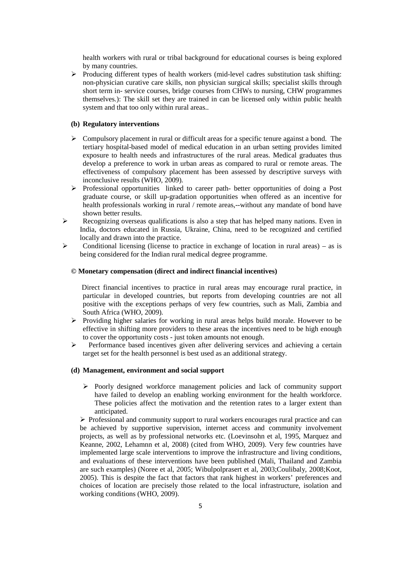health workers with rural or tribal background for educational courses is being explored by many countries.

 $\triangleright$  Producing different types of health workers (mid-level cadres substitution task shifting: non-physician curative care skills, non physician surgical skills; specialist skills through short term in- service courses, bridge courses from CHWs to nursing, CHW programmes themselves.): The skill set they are trained in can be licensed only within public health system and that too only within rural areas..

## **(b) Regulatory interventions**

- $\triangleright$  Compulsory placement in rural or difficult areas for a specific tenure against a bond. The tertiary hospital-based model of medical education in an urban setting provides limited exposure to health needs and infrastructures of the rural areas. Medical graduates thus develop a preference to work in urban areas as compared to rural or remote areas. The effectiveness of compulsory placement has been assessed by descriptive surveys with inconclusive results (WHO, 2009).
- $\triangleright$  Professional opportunities linked to career path- better opportunities of doing a Post graduate course, or skill up-gradation opportunities when offered as an incentive for health professionals working in rural / remote areas,--without any mandate of bond have shown better results.
- $\triangleright$  Recognizing overseas qualifications is also a step that has helped many nations. Even in India, doctors educated in Russia, Ukraine, China, need to be recognized and certified locally and drawn into the practice.
- Conditional licensing (license to practice in exchange of location in rural areas) as is being considered for the Indian rural medical degree programme.

#### **© Monetary compensation (direct and indirect financial incentives)**

Direct financial incentives to practice in rural areas may encourage rural practice, in particular in developed countries, but reports from developing countries are not all positive with the exceptions perhaps of very few countries, such as Mali, Zambia and South Africa (WHO, 2009).

- Ø Providing higher salaries for working in rural areas helps build morale. However to be effective in shifting more providers to these areas the incentives need to be high enough to cover the opportunity costs - just token amounts not enough.
- Ø Performance based incentives given after delivering services and achieving a certain target set for the health personnel is best used as an additional strategy.

### **(d) Management, environment and social support**

 $\triangleright$  Poorly designed workforce management policies and lack of community support have failed to develop an enabling working environment for the health workforce. These policies affect the motivation and the retention rates to a larger extent than anticipated.

 $\triangleright$  Professional and community support to rural workers encourages rural practice and can be achieved by supportive supervision, internet access and community involvement projects, as well as by professional networks etc. (Loevinsohn et al, 1995, Marquez and Keanne, 2002, Lehamnn et al, 2008) (cited from WHO, 2009). Very few countries have implemented large scale interventions to improve the infrastructure and living conditions, and evaluations of these interventions have been published (Mali, Thailand and Zambia are such examples) (Noree et al, 2005; Wibulpolprasert et al, 2003;Coulibaly, 2008;Koot, 2005). This is despite the fact that factors that rank highest in workers' preferences and choices of location are precisely those related to the local infrastructure, isolation and working conditions (WHO, 2009).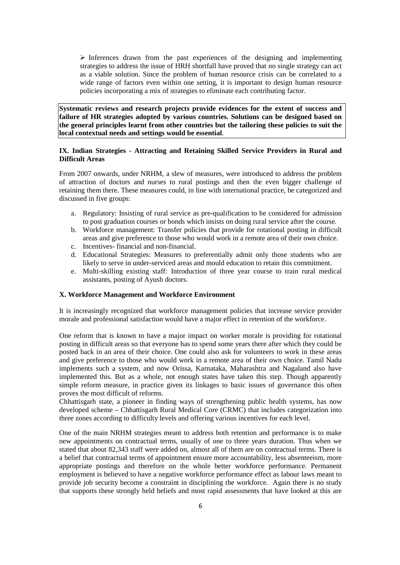$\triangleright$  Inferences drawn from the past experiences of the designing and implementing strategies to address the issue of HRH shortfall have proved that no single strategy can act as a viable solution. Since the problem of human resource crisis can be correlated to a wide range of factors even within one setting, it is important to design human resource policies incorporating a mix of strategies to eliminate each contributing factor.

**Systematic reviews and research projects provide evidences for the extent of success and failure of HR strategies adopted by various countries. Solutions can be designed based on the general principles learnt from other countries but the tailoring these policies to suit the local contextual needs and settings would be essential**.

# **IX. Indian Strategies - Attracting and Retaining Skilled Service Providers in Rural and Difficult Areas**

From 2007 onwards, under NRHM, a slew of measures, were introduced to address the problem of attraction of doctors and nurses to rural postings and then the even bigger challenge of retaining them there. These measures could, in line with international practice, be categorized and discussed in five groups:

- a. Regulatory: Insisting of rural service as pre-qualification to be considered for admission to post graduation courses or bonds which insists on doing rural service after the course.
- b. Workforce management: Transfer policies that provide for rotational posting in difficult areas and give preference to those who would work in a remote area of their own choice.
- c. Incentives- financial and non-financial.
- d. Educational Strategies: Measures to preferentially admit only those students who are likely to serve in under-serviced areas and mould education to retain this commitment.
- e. Multi-skilling existing staff: Introduction of three year course to train rural medical assistants, posting of Ayush doctors.

#### **X. Workforce Management and Workforce Environment**

It is increasingly recognized that workforce management policies that increase service provider morale and professional satisfaction would have a major effect in retention of the workforce.

One reform that is known to have a major impact on worker morale is providing for rotational posting in difficult areas so that everyone has to spend some years there after which they could be posted back in an area of their choice. One could also ask for volunteers to work in these areas and give preference to those who would work in a remote area of their own choice. Tamil Nadu implements such a system, and now Orissa, Karnataka, Maharashtra and Nagaland also have implemented this. But as a whole, not enough states have taken this step. Though apparently simple reform measure, in practice given its linkages to basic issues of governance this often proves the most difficult of reforms.

Chhattisgarh state, a pioneer in finding ways of strengthening public health systems, has now developed scheme – Chhattisgarh Rural Medical Core (CRMC) that includes categorization into three zones according to difficulty levels and offering various incentives for each level.

One of the main NRHM strategies meant to address both retention and performance is to make new appointments on contractual terms, usually of one to three years duration. Thus when we stated that about 82,343 staff were added on, almost all of them are on contractual terms. There is a belief that contractual terms of appointment ensure more accountability, less absenteeism, more appropriate postings and therefore on the whole better workforce performance. Permanent employment is believed to have a negative workforce performance effect as labour laws meant to provide job security become a constraint in disciplining the workforce. Again there is no study that supports these strongly held beliefs and most rapid assessments that have looked at this are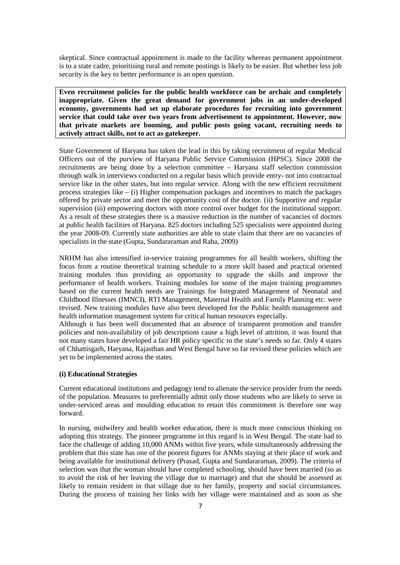skeptical. Since contractual appointment is made to the facility whereas permanent appointment is to a state cadre, prioritising rural and remote postings is likely to be easier. But whether less job security is the key to better performance is an open question.

**Even recruitment policies for the public health workforce can be archaic and completely inappropriate. Given the great demand for government jobs in an under-developed economy, governments had set up elaborate procedures for recruiting into government service that could take over two years from advertisement to appointment. However, now that private markets are booming, and public posts going vacant, recruiting needs to actively attract skills, not to act as gatekeeper.** 

State Government of Haryana has taken the lead in this by taking recruitment of regular Medical Officers out of the purview of Haryana Public Service Commission (HPSC). Since 2008 the recruitments are being done by a selection committee – Haryana staff selection commission through walk in interviews conducted on a regular basis which provide entry- not into contractual service like in the other states, but into regular service. Along with the new efficient recruitment process strategies like – (i) Higher compensation packages and incentives to match the packages offered by private sector and meet the opportunity cost of the doctor. (ii) Supportive and regular supervision (iii) empowering doctors with more control over budget for the institutional support. As a result of these strategies there is a massive reduction in the number of vacancies of doctors at public health facilities of Haryana. 825 doctors including 525 specialists were appointed during the year 2008-09. Currently state authorities are able to state claim that there are no vacancies of specialists in the state (Gupta, Sundararaman and Raha, 2009)

NRHM has also intensified in-service training programmes for all health workers, shifting the focus from a routine theoretical training schedule to a more skill based and practical oriented training modules thus providing an opportunity to upgrade the skills and improve the performance of health workers. Training modules for some of the major training programmes based on the current health needs are Trainings for Integrated Management of Neonatal and Childhood Illnesses (IMNCI), RTI Management, Maternal Health and Family Planning etc. were revised. New training modules have also been developed for the Public health management and health information management system for critical human resources especially.

Although it has been well documented that an absence of transparent promotion and transfer policies and non-availability of job descriptions cause a high level of attrition, it was found that not many states have developed a fair HR policy specific to the state's needs so far. Only 4 states of Chhattisgarh, Haryana, Rajasthan and West Bengal have so far revised these policies which are yet to be implemented across the states.

### **(i) Educational Strategies**

Current educational institutions and pedagogy tend to alienate the service provider from the needs of the population. Measures to preferentially admit only those students who are likely to serve in under-serviced areas and moulding education to retain this commitment is therefore one way forward.

In nursing, midwifery and health worker education, there is much more conscious thinking on adopting this strategy. The pioneer programme in this regard is in West Bengal. The state had to face the challenge of adding 10,000 ANMs within five years, while simultaneously addressing the problem that this state has one of the poorest figures for ANMs staying at their place of work and being available for institutional delivery (Prasad, Gupta and Sundararaman, 2009). The criteria of selection was that the woman should have completed schooling, should have been married (so as to avoid the risk of her leaving the village due to marriage) and that she should be assessed as likely to remain resident in that village due to her family, property and social circumstances. During the process of training her links with her village were maintained and as soon as she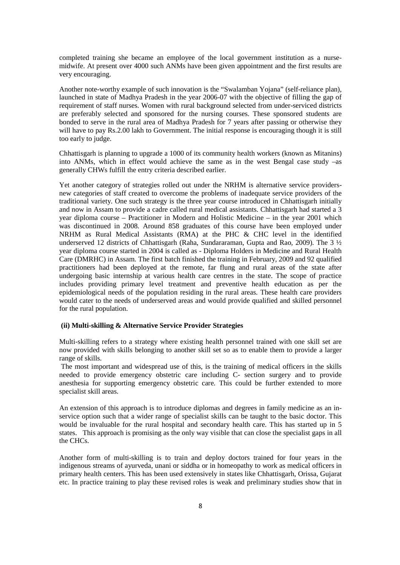completed training she became an employee of the local government institution as a nursemidwife. At present over 4000 such ANMs have been given appointment and the first results are very encouraging.

Another note-worthy example of such innovation is the "Swalamban Yojana" (self-reliance plan), launched in state of Madhya Pradesh in the year 2006-07 with the objective of filling the gap of requirement of staff nurses. Women with rural background selected from under-serviced districts are preferably selected and sponsored for the nursing courses. These sponsored students are bonded to serve in the rural area of Madhya Pradesh for 7 years after passing or otherwise they will have to pay Rs.2.00 lakh to Government. The initial response is encouraging though it is still too early to judge.

Chhattisgarh is planning to upgrade a 1000 of its community health workers (known as Mitanins) into ANMs, which in effect would achieve the same as in the west Bengal case study –as generally CHWs fulfill the entry criteria described earlier.

Yet another category of strategies rolled out under the NRHM is alternative service providersnew categories of staff created to overcome the problems of inadequate service providers of the traditional variety. One such strategy is the three year course introduced in Chhattisgarh initially and now in Assam to provide a cadre called rural medical assistants. Chhattisgarh had started a 3 year diploma course – Practitioner in Modern and Holistic Medicine – in the year 2001 which was discontinued in 2008. Around 858 graduates of this course have been employed under NRHM as Rural Medical Assistants (RMA) at the PHC & CHC level in the identified underserved 12 districts of Chhattisgarh (Raha, Sundararaman, Gupta and Rao, 2009). The 3 ½ year diploma course started in 2004 is called as - Diploma Holders in Medicine and Rural Health Care (DMRHC) in Assam. The first batch finished the training in February, 2009 and 92 qualified practitioners had been deployed at the remote, far flung and rural areas of the state after undergoing basic internship at various health care centres in the state. The scope of practice includes providing primary level treatment and preventive health education as per the epidemiological needs of the population residing in the rural areas. These health care providers would cater to the needs of underserved areas and would provide qualified and skilled personnel for the rural population.

### **(ii) Multi-skilling & Alternative Service Provider Strategies**

Multi-skilling refers to a strategy where existing health personnel trained with one skill set are now provided with skills belonging to another skill set so as to enable them to provide a larger range of skills.

The most important and widespread use of this, is the training of medical officers in the skills needed to provide emergency obstetric care including C- section surgery and to provide anesthesia for supporting emergency obstetric care. This could be further extended to more specialist skill areas.

An extension of this approach is to introduce diplomas and degrees in family medicine as an inservice option such that a wider range of specialist skills can be taught to the basic doctor. This would be invaluable for the rural hospital and secondary health care. This has started up in 5 states. This approach is promising as the only way visible that can close the specialist gaps in all the CHCs.

Another form of multi-skilling is to train and deploy doctors trained for four years in the indigenous streams of ayurveda, unani or siddha or in homeopathy to work as medical officers in primary health centers. This has been used extensively in states like Chhattisgarh, Orissa, Gujarat etc. In practice training to play these revised roles is weak and preliminary studies show that in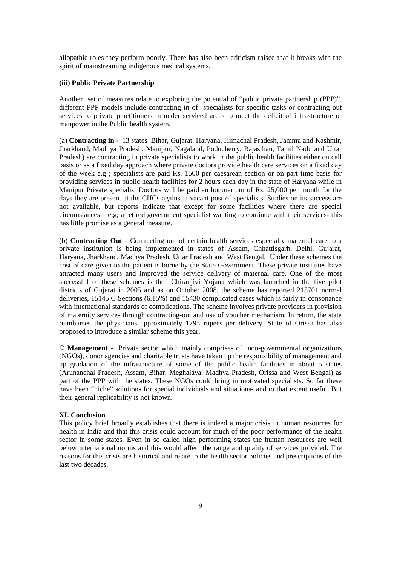allopathic roles they perform poorly. There has also been criticism raised that it breaks with the spirit of mainstreaming indigenous medical systems.

### **(iii) Public Private Partnership**

Another set of measures relate to exploring the potential of "public private partnership (PPP)", different PPP models include contracting in of specialists for specific tasks or contracting out services to private practitioners in under serviced areas to meet the deficit of infrastructure or manpower in the Public health system.

(a) **Contracting in** - 13 states Bihar, Gujarat, Haryana, Himachal Pradesh, Jammu and Kashmir, Jharkhand, Madhya Pradesh, Manipur, Nagaland, Puducherry, Rajasthan, Tamil Nadu and Uttar Pradesh) are contracting in private specialists to work in the public health facilities either on call basis or as a fixed day approach where private doctors provide health care services on a fixed day of the week e.g ; specialists are paid Rs. 1500 per caesarean section or on part time basis for providing services in public health facilities for 2 hours each day in the state of Haryana while in Manipur Private specialist Doctors will be paid an honorarium of Rs. 25,000 per month for the days they are present at the CHCs against a vacant post of specialists. Studies on its success are not available, but reports indicate that except for some facilities where there are special circumstances – e.g; a retired government specialist wanting to continue with their services- this has little promise as a general measure.

(b) **Contracting Out** - Contracting out of certain health services especially maternal care to a private institution is being implemented in states of Assam, Chhattisgarh, Delhi, Gujarat, Haryana, Jharkhand, Madhya Pradesh, Uttar Pradesh and West Bengal. Under these schemes the cost of care given to the patient is borne by the State Government. These private institutes have attracted many users and improved the service delivery of maternal care. One of the most successful of these schemes is the Chiranjivi Yojana which was launched in the five pilot districts of Gujarat in 2005 and as on October 2008, the scheme has reported 215701 normal deliveries, 15145 C Sections (6.15%) and 15430 complicated cases which is fairly in consonance with international standards of complications. The scheme involves private providers in provision of maternity services through contracting-out and use of voucher mechanism*.* In return, the state reimburses the physicians approximately 1795 rupees per delivery. State of Orissa has also proposed to introduce a similar scheme this year.

© **Management -** Private sector which mainly comprises of non-governmental organizations (NGOs), donor agencies and charitable trusts have taken up the responsibility of management and up gradation of the infrastructure of some of the public health facilities in about 5 states (Arunanchal Pradesh, Assam, Bihar, Meghalaya, Madhya Pradesh, Orissa and West Bengal) as part of the PPP with the states. These NGOs could bring in motivated specialists. So far these have been "niche" solutions for special individuals and situations- and to that extent useful. But their general replicability is not known.

# **XI. Conclusion**

This policy brief broadly establishes that there is indeed a major crisis in human resources for health in India and that this crisis could account for much of the poor performance of the health sector in some states. Even in so called high performing states the human resources are well below international norms and this would affect the range and quality of services provided. The reasons for this crisis are historical and relate to the health sector policies and prescriptions of the last two decades.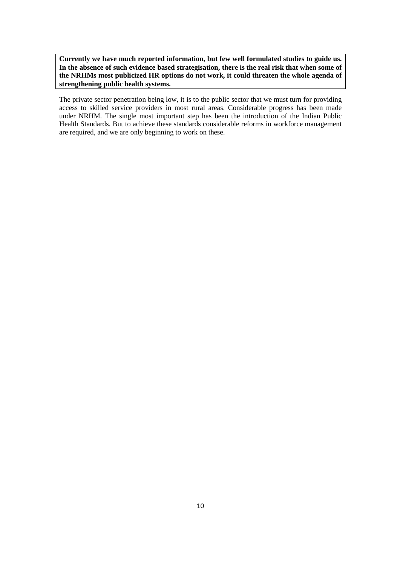**Currently we have much reported information, but few well formulated studies to guide us. In the absence of such evidence based strategisation, there is the real risk that when some of the NRHMs most publicized HR options do not work, it could threaten the whole agenda of strengthening public health systems.**

The private sector penetration being low, it is to the public sector that we must turn for providing access to skilled service providers in most rural areas. Considerable progress has been made under NRHM. The single most important step has been the introduction of the Indian Public Health Standards. But to achieve these standards considerable reforms in workforce management are required, and we are only beginning to work on these.